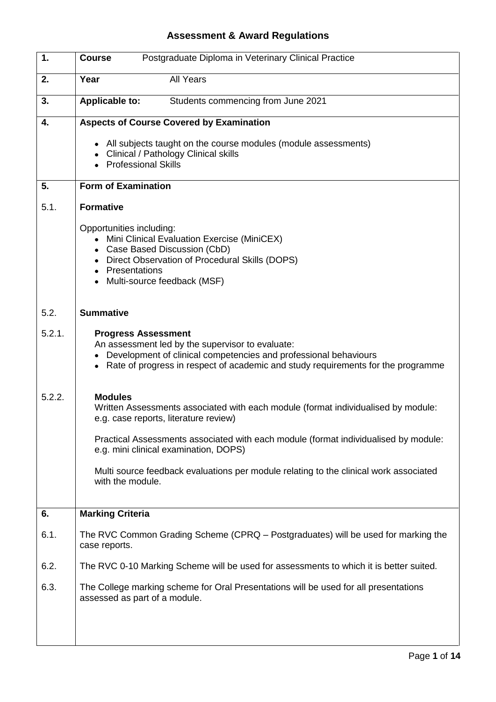| 1.     | Postgraduate Diploma in Veterinary Clinical Practice<br><b>Course</b>                                                                                                                                                                                                        |  |  |  |  |
|--------|------------------------------------------------------------------------------------------------------------------------------------------------------------------------------------------------------------------------------------------------------------------------------|--|--|--|--|
| 2.     | <b>All Years</b><br>Year                                                                                                                                                                                                                                                     |  |  |  |  |
| 3.     | Students commencing from June 2021<br><b>Applicable to:</b>                                                                                                                                                                                                                  |  |  |  |  |
| 4.     | <b>Aspects of Course Covered by Examination</b>                                                                                                                                                                                                                              |  |  |  |  |
|        | All subjects taught on the course modules (module assessments)<br><b>Clinical / Pathology Clinical skills</b><br><b>Professional Skills</b>                                                                                                                                  |  |  |  |  |
| 5.     | <b>Form of Examination</b>                                                                                                                                                                                                                                                   |  |  |  |  |
| 5.1.   | <b>Formative</b>                                                                                                                                                                                                                                                             |  |  |  |  |
|        | Opportunities including:<br>• Mini Clinical Evaluation Exercise (MiniCEX)<br>Case Based Discussion (CbD)<br>Direct Observation of Procedural Skills (DOPS)<br>Presentations<br>$\bullet$<br>Multi-source feedback (MSF)                                                      |  |  |  |  |
| 5.2.   | <b>Summative</b>                                                                                                                                                                                                                                                             |  |  |  |  |
| 5.2.1. | <b>Progress Assessment</b><br>An assessment led by the supervisor to evaluate:<br>Development of clinical competencies and professional behaviours<br>Rate of progress in respect of academic and study requirements for the programme                                       |  |  |  |  |
| 5.2.2. | <b>Modules</b><br>Written Assessments associated with each module (format individualised by module:<br>e.g. case reports, literature review)<br>Practical Assessments associated with each module (format individualised by module:<br>e.g. mini clinical examination, DOPS) |  |  |  |  |
|        | Multi source feedback evaluations per module relating to the clinical work associated<br>with the module.                                                                                                                                                                    |  |  |  |  |
| 6.     | <b>Marking Criteria</b>                                                                                                                                                                                                                                                      |  |  |  |  |
| 6.1.   | The RVC Common Grading Scheme (CPRQ – Postgraduates) will be used for marking the<br>case reports.                                                                                                                                                                           |  |  |  |  |
| 6.2.   | The RVC 0-10 Marking Scheme will be used for assessments to which it is better suited.                                                                                                                                                                                       |  |  |  |  |
| 6.3.   | The College marking scheme for Oral Presentations will be used for all presentations<br>assessed as part of a module.                                                                                                                                                        |  |  |  |  |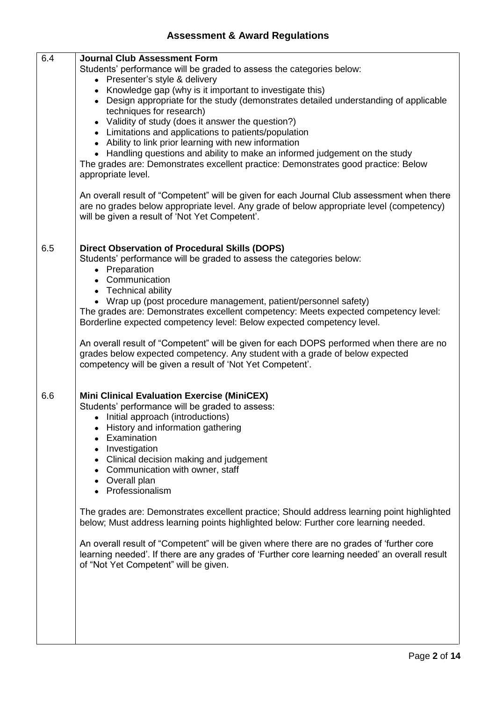| 6.4 | <b>Journal Club Assessment Form</b>                                                                                                                                                        |
|-----|--------------------------------------------------------------------------------------------------------------------------------------------------------------------------------------------|
|     | Students' performance will be graded to assess the categories below:                                                                                                                       |
|     | • Presenter's style & delivery                                                                                                                                                             |
|     | • Knowledge gap (why is it important to investigate this)                                                                                                                                  |
|     | • Design appropriate for the study (demonstrates detailed understanding of applicable                                                                                                      |
|     | techniques for research)                                                                                                                                                                   |
|     | • Validity of study (does it answer the question?)                                                                                                                                         |
|     | • Limitations and applications to patients/population                                                                                                                                      |
|     | • Ability to link prior learning with new information                                                                                                                                      |
|     | • Handling questions and ability to make an informed judgement on the study<br>The grades are: Demonstrates excellent practice: Demonstrates good practice: Below                          |
|     | appropriate level.                                                                                                                                                                         |
|     |                                                                                                                                                                                            |
|     | An overall result of "Competent" will be given for each Journal Club assessment when there                                                                                                 |
|     | are no grades below appropriate level. Any grade of below appropriate level (competency)<br>will be given a result of 'Not Yet Competent'.                                                 |
|     |                                                                                                                                                                                            |
|     |                                                                                                                                                                                            |
| 6.5 | <b>Direct Observation of Procedural Skills (DOPS)</b>                                                                                                                                      |
|     | Students' performance will be graded to assess the categories below:                                                                                                                       |
|     | • Preparation                                                                                                                                                                              |
|     | • Communication                                                                                                                                                                            |
|     | • Technical ability                                                                                                                                                                        |
|     | • Wrap up (post procedure management, patient/personnel safety)                                                                                                                            |
|     | The grades are: Demonstrates excellent competency: Meets expected competency level:                                                                                                        |
|     | Borderline expected competency level: Below expected competency level.                                                                                                                     |
|     | An overall result of "Competent" will be given for each DOPS performed when there are no                                                                                                   |
|     | grades below expected competency. Any student with a grade of below expected                                                                                                               |
|     | competency will be given a result of 'Not Yet Competent'.                                                                                                                                  |
|     |                                                                                                                                                                                            |
|     |                                                                                                                                                                                            |
| 6.6 | <b>Mini Clinical Evaluation Exercise (MiniCEX)</b>                                                                                                                                         |
|     | Students' performance will be graded to assess:                                                                                                                                            |
|     | • Initial approach (introductions)                                                                                                                                                         |
|     | History and information gathering<br>Examination                                                                                                                                           |
|     | Investigation                                                                                                                                                                              |
|     | Clinical decision making and judgement                                                                                                                                                     |
|     | Communication with owner, staff                                                                                                                                                            |
|     | • Overall plan                                                                                                                                                                             |
|     | • Professionalism                                                                                                                                                                          |
|     |                                                                                                                                                                                            |
|     | The grades are: Demonstrates excellent practice; Should address learning point highlighted                                                                                                 |
|     | below; Must address learning points highlighted below: Further core learning needed.                                                                                                       |
|     |                                                                                                                                                                                            |
|     | An overall result of "Competent" will be given where there are no grades of 'further core<br>learning needed'. If there are any grades of 'Further core learning needed' an overall result |
|     | of "Not Yet Competent" will be given.                                                                                                                                                      |
|     |                                                                                                                                                                                            |
|     |                                                                                                                                                                                            |
|     |                                                                                                                                                                                            |
|     |                                                                                                                                                                                            |
|     |                                                                                                                                                                                            |
|     |                                                                                                                                                                                            |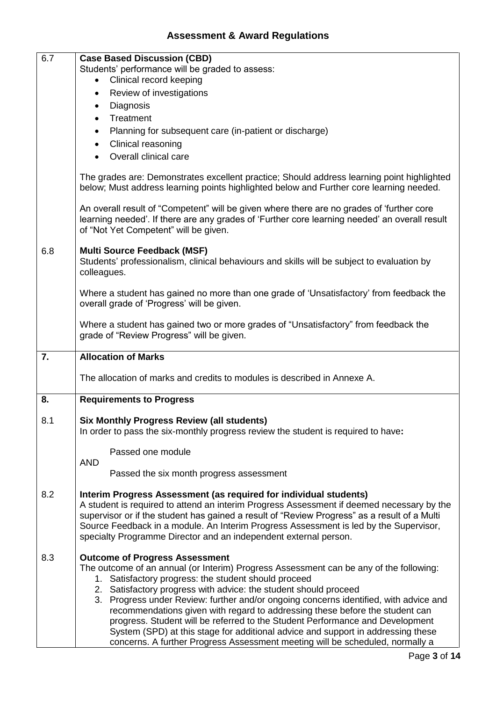| 6.7 | <b>Case Based Discussion (CBD)</b>                                                                                                                                                                                                                                                                                                                                                                                          |  |  |  |  |  |  |
|-----|-----------------------------------------------------------------------------------------------------------------------------------------------------------------------------------------------------------------------------------------------------------------------------------------------------------------------------------------------------------------------------------------------------------------------------|--|--|--|--|--|--|
|     | Students' performance will be graded to assess:                                                                                                                                                                                                                                                                                                                                                                             |  |  |  |  |  |  |
|     | Clinical record keeping                                                                                                                                                                                                                                                                                                                                                                                                     |  |  |  |  |  |  |
|     | Review of investigations<br>$\bullet$                                                                                                                                                                                                                                                                                                                                                                                       |  |  |  |  |  |  |
|     | Diagnosis<br>$\bullet$                                                                                                                                                                                                                                                                                                                                                                                                      |  |  |  |  |  |  |
|     | Treatment                                                                                                                                                                                                                                                                                                                                                                                                                   |  |  |  |  |  |  |
|     | Planning for subsequent care (in-patient or discharge)                                                                                                                                                                                                                                                                                                                                                                      |  |  |  |  |  |  |
|     | Clinical reasoning                                                                                                                                                                                                                                                                                                                                                                                                          |  |  |  |  |  |  |
|     | Overall clinical care                                                                                                                                                                                                                                                                                                                                                                                                       |  |  |  |  |  |  |
|     | The grades are: Demonstrates excellent practice; Should address learning point highlighted<br>below; Must address learning points highlighted below and Further core learning needed.                                                                                                                                                                                                                                       |  |  |  |  |  |  |
|     | An overall result of "Competent" will be given where there are no grades of 'further core<br>learning needed'. If there are any grades of 'Further core learning needed' an overall result<br>of "Not Yet Competent" will be given.                                                                                                                                                                                         |  |  |  |  |  |  |
| 6.8 | <b>Multi Source Feedback (MSF)</b><br>Students' professionalism, clinical behaviours and skills will be subject to evaluation by<br>colleagues.                                                                                                                                                                                                                                                                             |  |  |  |  |  |  |
|     | Where a student has gained no more than one grade of 'Unsatisfactory' from feedback the<br>overall grade of 'Progress' will be given.                                                                                                                                                                                                                                                                                       |  |  |  |  |  |  |
|     | Where a student has gained two or more grades of "Unsatisfactory" from feedback the<br>grade of "Review Progress" will be given.                                                                                                                                                                                                                                                                                            |  |  |  |  |  |  |
|     | <b>Allocation of Marks</b>                                                                                                                                                                                                                                                                                                                                                                                                  |  |  |  |  |  |  |
| 7.  |                                                                                                                                                                                                                                                                                                                                                                                                                             |  |  |  |  |  |  |
|     | The allocation of marks and credits to modules is described in Annexe A.                                                                                                                                                                                                                                                                                                                                                    |  |  |  |  |  |  |
| 8.  | <b>Requirements to Progress</b>                                                                                                                                                                                                                                                                                                                                                                                             |  |  |  |  |  |  |
| 8.1 | <b>Six Monthly Progress Review (all students)</b><br>In order to pass the six-monthly progress review the student is required to have:                                                                                                                                                                                                                                                                                      |  |  |  |  |  |  |
|     | Passed one module                                                                                                                                                                                                                                                                                                                                                                                                           |  |  |  |  |  |  |
|     | <b>AND</b><br>Passed the six month progress assessment                                                                                                                                                                                                                                                                                                                                                                      |  |  |  |  |  |  |
| 8.2 | Interim Progress Assessment (as required for individual students)<br>A student is required to attend an interim Progress Assessment if deemed necessary by the<br>supervisor or if the student has gained a result of "Review Progress" as a result of a Multi<br>Source Feedback in a module. An Interim Progress Assessment is led by the Supervisor,<br>specialty Programme Director and an independent external person. |  |  |  |  |  |  |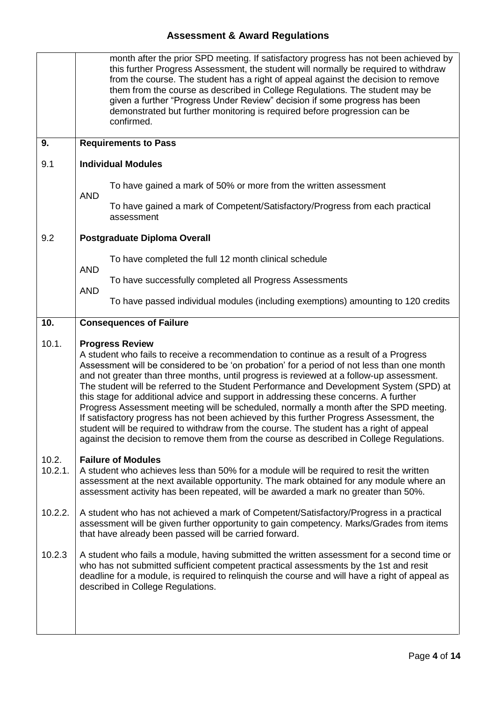|                  | month after the prior SPD meeting. If satisfactory progress has not been achieved by<br>this further Progress Assessment, the student will normally be required to withdraw<br>from the course. The student has a right of appeal against the decision to remove<br>them from the course as described in College Regulations. The student may be<br>given a further "Progress Under Review" decision if some progress has been<br>demonstrated but further monitoring is required before progression can be<br>confirmed.                                                                                                                                                                                                                                                                                                                                                |  |  |  |  |  |
|------------------|--------------------------------------------------------------------------------------------------------------------------------------------------------------------------------------------------------------------------------------------------------------------------------------------------------------------------------------------------------------------------------------------------------------------------------------------------------------------------------------------------------------------------------------------------------------------------------------------------------------------------------------------------------------------------------------------------------------------------------------------------------------------------------------------------------------------------------------------------------------------------|--|--|--|--|--|
| 9.               | <b>Requirements to Pass</b>                                                                                                                                                                                                                                                                                                                                                                                                                                                                                                                                                                                                                                                                                                                                                                                                                                              |  |  |  |  |  |
| 9.1              | <b>Individual Modules</b>                                                                                                                                                                                                                                                                                                                                                                                                                                                                                                                                                                                                                                                                                                                                                                                                                                                |  |  |  |  |  |
|                  | To have gained a mark of 50% or more from the written assessment<br><b>AND</b>                                                                                                                                                                                                                                                                                                                                                                                                                                                                                                                                                                                                                                                                                                                                                                                           |  |  |  |  |  |
|                  | To have gained a mark of Competent/Satisfactory/Progress from each practical<br>assessment                                                                                                                                                                                                                                                                                                                                                                                                                                                                                                                                                                                                                                                                                                                                                                               |  |  |  |  |  |
| 9.2              | <b>Postgraduate Diploma Overall</b>                                                                                                                                                                                                                                                                                                                                                                                                                                                                                                                                                                                                                                                                                                                                                                                                                                      |  |  |  |  |  |
|                  | To have completed the full 12 month clinical schedule<br><b>AND</b>                                                                                                                                                                                                                                                                                                                                                                                                                                                                                                                                                                                                                                                                                                                                                                                                      |  |  |  |  |  |
|                  | To have successfully completed all Progress Assessments                                                                                                                                                                                                                                                                                                                                                                                                                                                                                                                                                                                                                                                                                                                                                                                                                  |  |  |  |  |  |
|                  | <b>AND</b><br>To have passed individual modules (including exemptions) amounting to 120 credits                                                                                                                                                                                                                                                                                                                                                                                                                                                                                                                                                                                                                                                                                                                                                                          |  |  |  |  |  |
| 10.              | <b>Consequences of Failure</b>                                                                                                                                                                                                                                                                                                                                                                                                                                                                                                                                                                                                                                                                                                                                                                                                                                           |  |  |  |  |  |
| 10.1.            | <b>Progress Review</b><br>A student who fails to receive a recommendation to continue as a result of a Progress<br>Assessment will be considered to be 'on probation' for a period of not less than one month<br>and not greater than three months, until progress is reviewed at a follow-up assessment.<br>The student will be referred to the Student Performance and Development System (SPD) at<br>this stage for additional advice and support in addressing these concerns. A further<br>Progress Assessment meeting will be scheduled, normally a month after the SPD meeting.<br>If satisfactory progress has not been achieved by this further Progress Assessment, the<br>student will be required to withdraw from the course. The student has a right of appeal<br>against the decision to remove them from the course as described in College Regulations. |  |  |  |  |  |
| 10.2.<br>10.2.1. | <b>Failure of Modules</b><br>A student who achieves less than 50% for a module will be required to resit the written<br>assessment at the next available opportunity. The mark obtained for any module where an<br>assessment activity has been repeated, will be awarded a mark no greater than 50%.                                                                                                                                                                                                                                                                                                                                                                                                                                                                                                                                                                    |  |  |  |  |  |
| 10.2.2.          | A student who has not achieved a mark of Competent/Satisfactory/Progress in a practical<br>assessment will be given further opportunity to gain competency. Marks/Grades from items<br>that have already been passed will be carried forward.                                                                                                                                                                                                                                                                                                                                                                                                                                                                                                                                                                                                                            |  |  |  |  |  |
| 10.2.3           | A student who fails a module, having submitted the written assessment for a second time or<br>who has not submitted sufficient competent practical assessments by the 1st and resit<br>deadline for a module, is required to relinquish the course and will have a right of appeal as<br>described in College Regulations.                                                                                                                                                                                                                                                                                                                                                                                                                                                                                                                                               |  |  |  |  |  |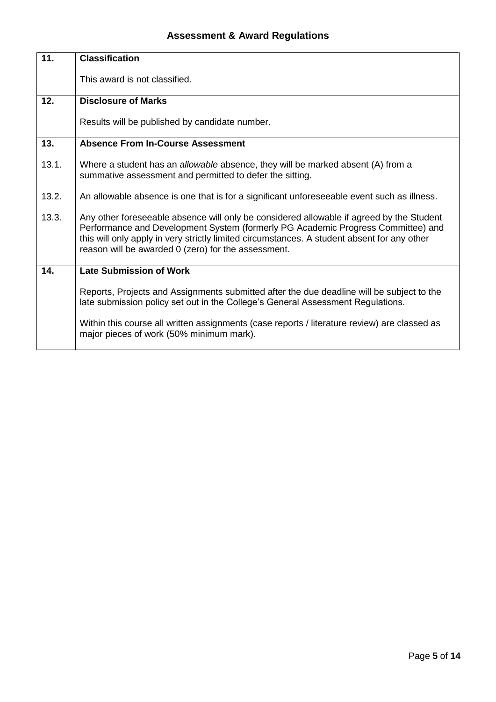| 11.   | <b>Classification</b>                                                                                                                                                                                                                                                                                                              |
|-------|------------------------------------------------------------------------------------------------------------------------------------------------------------------------------------------------------------------------------------------------------------------------------------------------------------------------------------|
|       | This award is not classified.                                                                                                                                                                                                                                                                                                      |
| 12.   | <b>Disclosure of Marks</b>                                                                                                                                                                                                                                                                                                         |
|       | Results will be published by candidate number.                                                                                                                                                                                                                                                                                     |
| 13.   | <b>Absence From In-Course Assessment</b>                                                                                                                                                                                                                                                                                           |
| 13.1. | Where a student has an allowable absence, they will be marked absent (A) from a<br>summative assessment and permitted to defer the sitting.                                                                                                                                                                                        |
| 13.2. | An allowable absence is one that is for a significant unforeseeable event such as illness.                                                                                                                                                                                                                                         |
| 13.3. | Any other foreseeable absence will only be considered allowable if agreed by the Student<br>Performance and Development System (formerly PG Academic Progress Committee) and<br>this will only apply in very strictly limited circumstances. A student absent for any other<br>reason will be awarded 0 (zero) for the assessment. |
| 14.   | <b>Late Submission of Work</b>                                                                                                                                                                                                                                                                                                     |
|       | Reports, Projects and Assignments submitted after the due deadline will be subject to the<br>late submission policy set out in the College's General Assessment Regulations.                                                                                                                                                       |
|       | Within this course all written assignments (case reports / literature review) are classed as<br>major pieces of work (50% minimum mark).                                                                                                                                                                                           |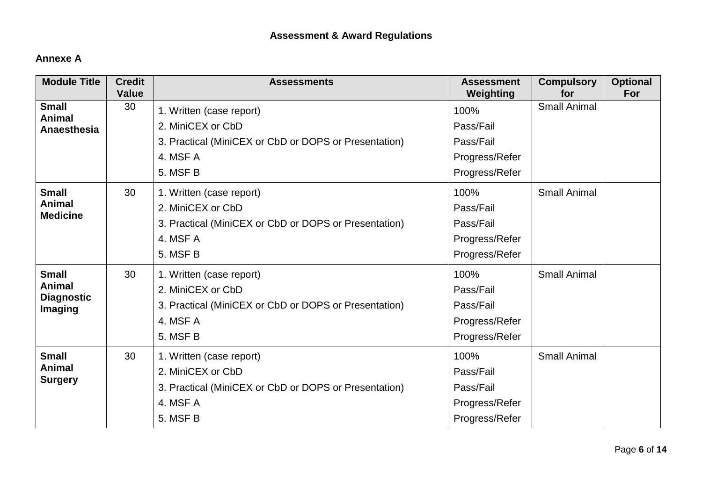### **Annexe A**

| <b>Module Title</b>                                           | <b>Credit</b><br><b>Value</b> | <b>Assessments</b>                                                                                                             | <b>Assessment</b><br>Weighting                                     | <b>Compulsory</b><br>for | <b>Optional</b><br><b>For</b> |
|---------------------------------------------------------------|-------------------------------|--------------------------------------------------------------------------------------------------------------------------------|--------------------------------------------------------------------|--------------------------|-------------------------------|
| <b>Small</b><br>Animal<br>Anaesthesia                         | 30                            | 1. Written (case report)<br>2. MiniCEX or CbD<br>3. Practical (MiniCEX or CbD or DOPS or Presentation)<br>4. MSF A<br>5. MSF B | 100%<br>Pass/Fail<br>Pass/Fail<br>Progress/Refer<br>Progress/Refer | <b>Small Animal</b>      |                               |
| <b>Small</b><br><b>Animal</b><br><b>Medicine</b>              | 30                            | 1. Written (case report)<br>2. MiniCEX or CbD<br>3. Practical (MiniCEX or CbD or DOPS or Presentation)<br>4. MSF A<br>5. MSF B | 100%<br>Pass/Fail<br>Pass/Fail<br>Progress/Refer<br>Progress/Refer | <b>Small Animal</b>      |                               |
| <b>Small</b><br>Animal<br><b>Diagnostic</b><br><b>Imaging</b> | 30                            | 1. Written (case report)<br>2. MiniCEX or CbD<br>3. Practical (MiniCEX or CbD or DOPS or Presentation)<br>4. MSF A<br>5. MSF B | 100%<br>Pass/Fail<br>Pass/Fail<br>Progress/Refer<br>Progress/Refer | <b>Small Animal</b>      |                               |
| <b>Small</b><br><b>Animal</b><br><b>Surgery</b>               | 30                            | 1. Written (case report)<br>2. MiniCEX or CbD<br>3. Practical (MiniCEX or CbD or DOPS or Presentation)<br>4. MSF A<br>5. MSF B | 100%<br>Pass/Fail<br>Pass/Fail<br>Progress/Refer<br>Progress/Refer | <b>Small Animal</b>      |                               |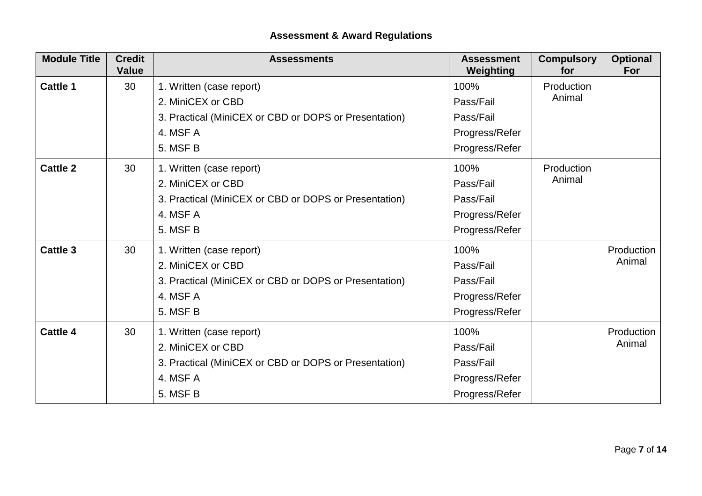| <b>Module Title</b> | <b>Credit</b><br><b>Value</b> | <b>Assessments</b>                                    | <b>Assessment</b><br>Weighting | <b>Compulsory</b><br>for | <b>Optional</b><br>For |
|---------------------|-------------------------------|-------------------------------------------------------|--------------------------------|--------------------------|------------------------|
| <b>Cattle 1</b>     | 30                            | 1. Written (case report)                              | 100%                           | Production<br>Animal     |                        |
|                     |                               | 2. MiniCEX or CBD                                     | Pass/Fail                      |                          |                        |
|                     |                               | 3. Practical (MiniCEX or CBD or DOPS or Presentation) | Pass/Fail                      |                          |                        |
|                     |                               | 4. MSF A                                              | Progress/Refer                 |                          |                        |
|                     |                               | 5. MSF B                                              | Progress/Refer                 |                          |                        |
| <b>Cattle 2</b>     | 30                            | 1. Written (case report)                              | 100%                           | Production               |                        |
|                     |                               | 2. MiniCEX or CBD                                     | Pass/Fail                      | Animal                   |                        |
|                     |                               | 3. Practical (MiniCEX or CBD or DOPS or Presentation) | Pass/Fail                      |                          |                        |
|                     |                               | 4. MSF A                                              | Progress/Refer                 |                          |                        |
|                     |                               | 5. MSF B                                              | Progress/Refer                 |                          |                        |
| <b>Cattle 3</b>     | 30                            | 1. Written (case report)                              | 100%                           |                          | Production             |
|                     |                               | 2. MiniCEX or CBD                                     | Pass/Fail                      |                          | Animal                 |
|                     |                               | 3. Practical (MiniCEX or CBD or DOPS or Presentation) | Pass/Fail                      |                          |                        |
|                     |                               | 4. MSF A                                              | Progress/Refer                 |                          |                        |
|                     |                               | 5. MSF B                                              | Progress/Refer                 |                          |                        |
| <b>Cattle 4</b>     | 30                            | 1. Written (case report)                              | 100%                           |                          | Production             |
|                     |                               | 2. MiniCEX or CBD                                     | Pass/Fail                      |                          | Animal                 |
|                     |                               | 3. Practical (MiniCEX or CBD or DOPS or Presentation) | Pass/Fail                      |                          |                        |
|                     |                               | 4. MSF A                                              | Progress/Refer                 |                          |                        |
|                     |                               | 5. MSF B                                              | Progress/Refer                 |                          |                        |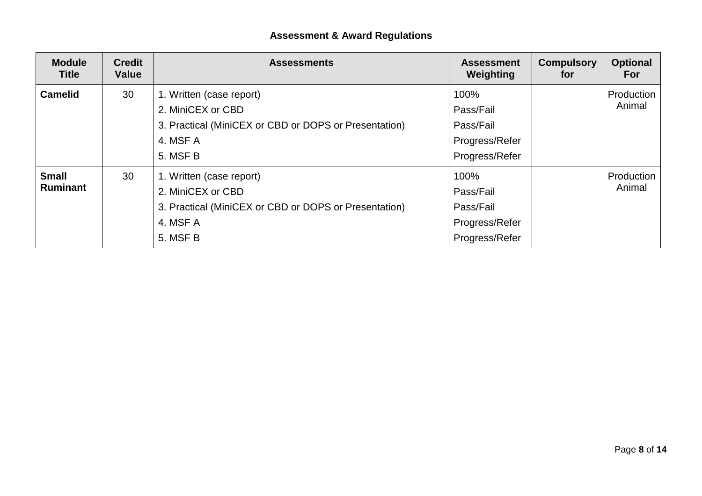| <b>Module</b><br><b>Title</b>   | <b>Credit</b><br><b>Value</b> | <b>Assessments</b>                                                                                                             | <b>Assessment</b><br>Weighting                                     | <b>Compulsory</b><br>for | <b>Optional</b><br>For |
|---------------------------------|-------------------------------|--------------------------------------------------------------------------------------------------------------------------------|--------------------------------------------------------------------|--------------------------|------------------------|
| <b>Camelid</b>                  | 30                            | 1. Written (case report)<br>2. MiniCEX or CBD<br>3. Practical (MiniCEX or CBD or DOPS or Presentation)<br>4. MSF A<br>5. MSF B | 100%<br>Pass/Fail<br>Pass/Fail<br>Progress/Refer<br>Progress/Refer |                          | Production<br>Animal   |
| <b>Small</b><br><b>Ruminant</b> | 30                            | 1. Written (case report)<br>2. MiniCEX or CBD<br>3. Practical (MiniCEX or CBD or DOPS or Presentation)<br>4. MSF A<br>5. MSF B | 100%<br>Pass/Fail<br>Pass/Fail<br>Progress/Refer<br>Progress/Refer |                          | Production<br>Animal   |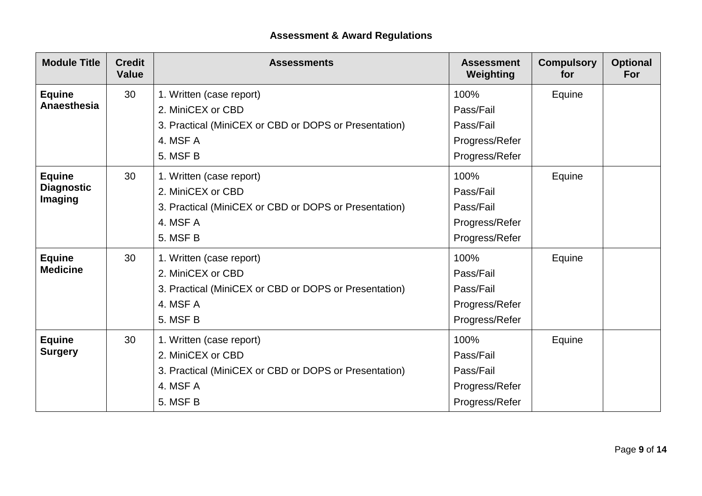| <b>Module Title</b> | <b>Credit</b><br><b>Value</b> | <b>Assessments</b>                                    | <b>Assessment</b><br>Weighting | <b>Compulsory</b><br>for | <b>Optional</b><br>For |
|---------------------|-------------------------------|-------------------------------------------------------|--------------------------------|--------------------------|------------------------|
| <b>Equine</b>       | 30                            | 1. Written (case report)                              | 100%                           | Equine                   |                        |
| Anaesthesia         |                               | 2. MiniCEX or CBD                                     | Pass/Fail                      |                          |                        |
|                     |                               | 3. Practical (MiniCEX or CBD or DOPS or Presentation) | Pass/Fail                      |                          |                        |
|                     |                               | 4. MSF A                                              | Progress/Refer                 |                          |                        |
|                     |                               | 5. MSF B                                              | Progress/Refer                 |                          |                        |
| <b>Equine</b>       | 30                            | 1. Written (case report)                              | 100%                           | Equine                   |                        |
| <b>Diagnostic</b>   |                               | 2. MiniCEX or CBD                                     | Pass/Fail                      |                          |                        |
| Imaging             |                               | 3. Practical (MiniCEX or CBD or DOPS or Presentation) | Pass/Fail                      |                          |                        |
|                     |                               | 4. MSF A                                              | Progress/Refer                 |                          |                        |
|                     |                               | 5. MSF B                                              | Progress/Refer                 |                          |                        |
| <b>Equine</b>       | 30                            | 1. Written (case report)                              | 100%                           | Equine                   |                        |
| <b>Medicine</b>     |                               | 2. MiniCEX or CBD                                     | Pass/Fail                      |                          |                        |
|                     |                               | 3. Practical (MiniCEX or CBD or DOPS or Presentation) | Pass/Fail                      |                          |                        |
|                     |                               | 4. MSF A                                              | Progress/Refer                 |                          |                        |
|                     |                               | 5. MSF B                                              | Progress/Refer                 |                          |                        |
| <b>Equine</b>       | 30                            | 1. Written (case report)                              | 100%                           | Equine                   |                        |
| <b>Surgery</b>      |                               | 2. MiniCEX or CBD                                     | Pass/Fail                      |                          |                        |
|                     |                               | 3. Practical (MiniCEX or CBD or DOPS or Presentation) | Pass/Fail                      |                          |                        |
|                     |                               | 4. MSF A                                              | Progress/Refer                 |                          |                        |
|                     |                               | 5. MSF B                                              | Progress/Refer                 |                          |                        |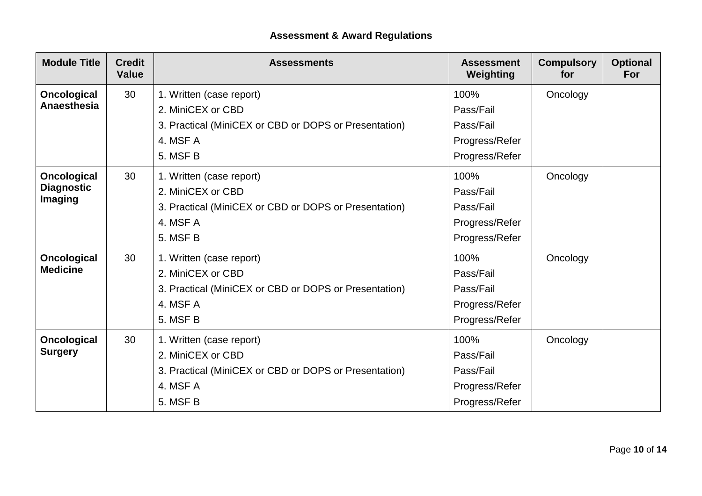| <b>Module Title</b> | <b>Credit</b><br><b>Value</b> | <b>Assessments</b>                                    | <b>Assessment</b><br>Weighting | <b>Compulsory</b><br>for | <b>Optional</b><br>For |
|---------------------|-------------------------------|-------------------------------------------------------|--------------------------------|--------------------------|------------------------|
| <b>Oncological</b>  | 30                            | 1. Written (case report)                              | 100%                           | Oncology                 |                        |
| Anaesthesia         |                               | 2. MiniCEX or CBD                                     | Pass/Fail                      |                          |                        |
|                     |                               | 3. Practical (MiniCEX or CBD or DOPS or Presentation) | Pass/Fail                      |                          |                        |
|                     |                               | 4. MSF A                                              | Progress/Refer                 |                          |                        |
|                     |                               | 5. MSF B                                              | Progress/Refer                 |                          |                        |
| <b>Oncological</b>  | 30                            | 1. Written (case report)                              | 100%                           | Oncology                 |                        |
| <b>Diagnostic</b>   |                               | 2. MiniCEX or CBD                                     | Pass/Fail                      |                          |                        |
| <b>Imaging</b>      |                               | 3. Practical (MiniCEX or CBD or DOPS or Presentation) | Pass/Fail                      |                          |                        |
|                     |                               | 4. MSF A                                              | Progress/Refer                 |                          |                        |
|                     |                               | 5. MSF B                                              | Progress/Refer                 |                          |                        |
| <b>Oncological</b>  | 30                            | 1. Written (case report)                              | 100%                           | Oncology                 |                        |
| <b>Medicine</b>     |                               | 2. MiniCEX or CBD                                     | Pass/Fail                      |                          |                        |
|                     |                               | 3. Practical (MiniCEX or CBD or DOPS or Presentation) | Pass/Fail                      |                          |                        |
|                     |                               | 4. MSF A                                              | Progress/Refer                 |                          |                        |
|                     |                               | 5. MSF B                                              | Progress/Refer                 |                          |                        |
| <b>Oncological</b>  | 30                            | 1. Written (case report)                              | 100%                           | Oncology                 |                        |
| <b>Surgery</b>      |                               | 2. MiniCEX or CBD                                     | Pass/Fail                      |                          |                        |
|                     |                               | 3. Practical (MiniCEX or CBD or DOPS or Presentation) | Pass/Fail                      |                          |                        |
|                     |                               | 4. MSF A                                              | Progress/Refer                 |                          |                        |
|                     |                               | 5. MSF B                                              | Progress/Refer                 |                          |                        |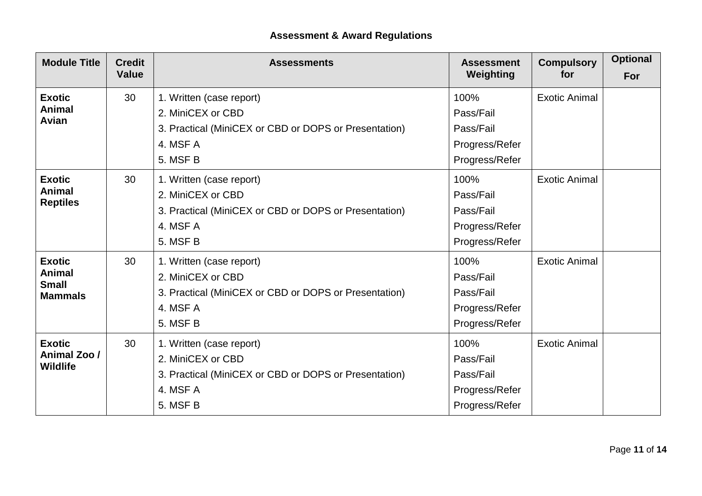| <b>Module Title</b>                                              | <b>Credit</b><br><b>Value</b> | <b>Assessments</b>                                                                                                             | <b>Assessment</b><br>Weighting                                     | <b>Compulsory</b><br>for | <b>Optional</b><br>For |
|------------------------------------------------------------------|-------------------------------|--------------------------------------------------------------------------------------------------------------------------------|--------------------------------------------------------------------|--------------------------|------------------------|
| <b>Exotic</b><br><b>Animal</b><br>Avian                          | 30                            | 1. Written (case report)<br>2. MiniCEX or CBD<br>3. Practical (MiniCEX or CBD or DOPS or Presentation)<br>4. MSF A<br>5. MSF B | 100%<br>Pass/Fail<br>Pass/Fail<br>Progress/Refer<br>Progress/Refer | <b>Exotic Animal</b>     |                        |
| <b>Exotic</b><br>Animal<br><b>Reptiles</b>                       | 30                            | 1. Written (case report)<br>2. MiniCEX or CBD<br>3. Practical (MiniCEX or CBD or DOPS or Presentation)<br>4. MSF A<br>5. MSF B | 100%<br>Pass/Fail<br>Pass/Fail<br>Progress/Refer<br>Progress/Refer | <b>Exotic Animal</b>     |                        |
| <b>Exotic</b><br><b>Animal</b><br><b>Small</b><br><b>Mammals</b> | 30                            | 1. Written (case report)<br>2. MiniCEX or CBD<br>3. Practical (MiniCEX or CBD or DOPS or Presentation)<br>4. MSF A<br>5. MSF B | 100%<br>Pass/Fail<br>Pass/Fail<br>Progress/Refer<br>Progress/Refer | <b>Exotic Animal</b>     |                        |
| <b>Exotic</b><br>Animal Zoo /<br><b>Wildlife</b>                 | 30                            | 1. Written (case report)<br>2. MiniCEX or CBD<br>3. Practical (MiniCEX or CBD or DOPS or Presentation)<br>4. MSF A<br>5. MSF B | 100%<br>Pass/Fail<br>Pass/Fail<br>Progress/Refer<br>Progress/Refer | <b>Exotic Animal</b>     |                        |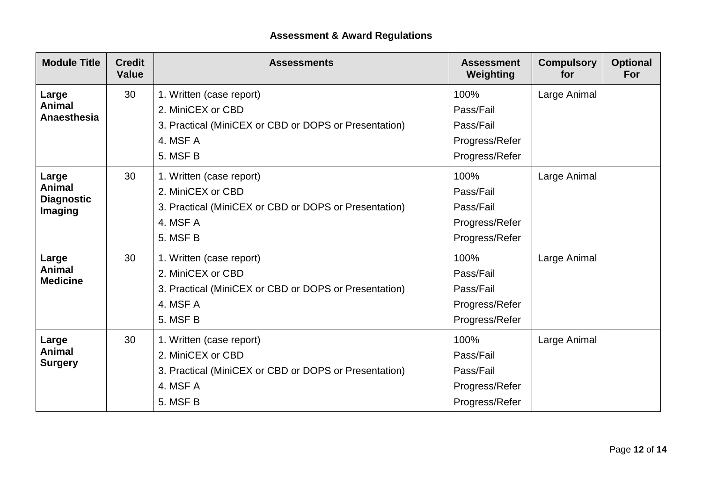| <b>Module Title</b>                                    | <b>Credit</b><br><b>Value</b> | <b>Assessments</b>                                                                                                             | <b>Assessment</b><br>Weighting                                     | <b>Compulsory</b><br>for | <b>Optional</b><br>For |
|--------------------------------------------------------|-------------------------------|--------------------------------------------------------------------------------------------------------------------------------|--------------------------------------------------------------------|--------------------------|------------------------|
| Large<br>Animal<br>Anaesthesia                         | 30                            | 1. Written (case report)<br>2. MiniCEX or CBD<br>3. Practical (MiniCEX or CBD or DOPS or Presentation)<br>4. MSF A<br>5. MSF B | 100%<br>Pass/Fail<br>Pass/Fail<br>Progress/Refer<br>Progress/Refer | Large Animal             |                        |
| Large<br>Animal<br><b>Diagnostic</b><br><b>Imaging</b> | 30                            | 1. Written (case report)<br>2. MiniCEX or CBD<br>3. Practical (MiniCEX or CBD or DOPS or Presentation)<br>4. MSF A<br>5. MSF B | 100%<br>Pass/Fail<br>Pass/Fail<br>Progress/Refer<br>Progress/Refer | Large Animal             |                        |
| Large<br><b>Animal</b><br><b>Medicine</b>              | 30                            | 1. Written (case report)<br>2. MiniCEX or CBD<br>3. Practical (MiniCEX or CBD or DOPS or Presentation)<br>4. MSF A<br>5. MSF B | 100%<br>Pass/Fail<br>Pass/Fail<br>Progress/Refer<br>Progress/Refer | Large Animal             |                        |
| Large<br><b>Animal</b><br><b>Surgery</b>               | 30                            | 1. Written (case report)<br>2. MiniCEX or CBD<br>3. Practical (MiniCEX or CBD or DOPS or Presentation)<br>4. MSF A<br>5. MSF B | 100%<br>Pass/Fail<br>Pass/Fail<br>Progress/Refer<br>Progress/Refer | Large Animal             |                        |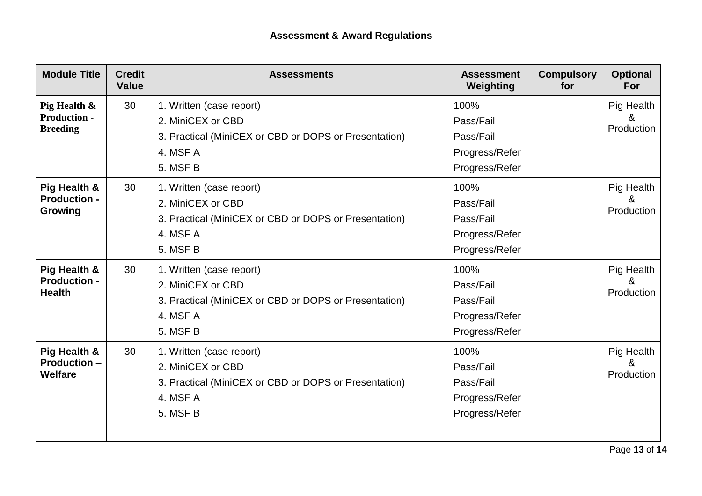| <b>Module Title</b>                                    | <b>Credit</b><br><b>Value</b> | <b>Assessments</b>                                                                                                             | <b>Assessment</b><br>Weighting                                     | <b>Compulsory</b><br>for | <b>Optional</b><br><b>For</b> |
|--------------------------------------------------------|-------------------------------|--------------------------------------------------------------------------------------------------------------------------------|--------------------------------------------------------------------|--------------------------|-------------------------------|
| Pig Health &<br><b>Production -</b><br><b>Breeding</b> | 30                            | 1. Written (case report)<br>2. MiniCEX or CBD<br>3. Practical (MiniCEX or CBD or DOPS or Presentation)<br>4. MSF A<br>5. MSF B | 100%<br>Pass/Fail<br>Pass/Fail<br>Progress/Refer<br>Progress/Refer |                          | Pig Health<br>&<br>Production |
| Pig Health &<br><b>Production -</b><br>Growing         | 30                            | 1. Written (case report)<br>2. MiniCEX or CBD<br>3. Practical (MiniCEX or CBD or DOPS or Presentation)<br>4. MSF A<br>5. MSF B | 100%<br>Pass/Fail<br>Pass/Fail<br>Progress/Refer<br>Progress/Refer |                          | Pig Health<br>&<br>Production |
| Pig Health &<br><b>Production -</b><br><b>Health</b>   | 30                            | 1. Written (case report)<br>2. MiniCEX or CBD<br>3. Practical (MiniCEX or CBD or DOPS or Presentation)<br>4. MSF A<br>5. MSF B | 100%<br>Pass/Fail<br>Pass/Fail<br>Progress/Refer<br>Progress/Refer |                          | Pig Health<br>&<br>Production |
| Pig Health &<br><b>Production -</b><br><b>Welfare</b>  | 30                            | 1. Written (case report)<br>2. MiniCEX or CBD<br>3. Practical (MiniCEX or CBD or DOPS or Presentation)<br>4. MSF A<br>5. MSF B | 100%<br>Pass/Fail<br>Pass/Fail<br>Progress/Refer<br>Progress/Refer |                          | Pig Health<br>&<br>Production |